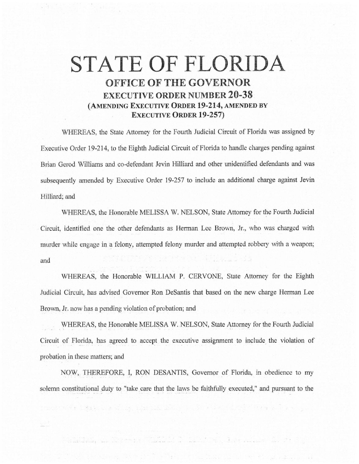## **STATE OF FLORIDA OFFICE OF THE GOVERNOR EXECUTIVE ORDER NUMBER 20-38 (AMENDING EXECUTIVE ORDER 19-214, AMENDED BY EXECUTIVE ORDER 19-257)**

WHEREAS, the State Attorney for the Fourth Judicial Circuit of Florida was assigned by Executive Order 19-214, to the Eighth Judicial Circuit of Florida to handle charges pending against Brian Gerod Williams and co-defendant Jevin Hilliard and other unidentified defendants and was subsequently amended by Executive Order 19-257 to include an additional charge against Jevin Hilliard; and

WHEREAS, the Honorable MELISSA W. NELSON, State Attorney for the Fourth Judicial Circuit, identified one the other defendants as Herman Lee Brown, Jr., who was charged with murder while engage in a felony, attempted felony murder and attempted robbery with a weapon; and

WHEREAS, the Honorable WILLIAM P. CERVONE, State Attorney for the Eighth Judicial Circuit, has advised Governor Ron DeSantis that based on the new charge Herman Lee Brown, Jr, now has a pending violation of probation; and

\VHEREAS, the Honorable MELISSA W. NELSON, State Attorney for the Fourth Judicial Circuit of Florida, has agreed to accept the executive assignment to include the violation of probation in these matters; and

NOW, THEREFORE, I, RON DESANTIS, Governor of Florida, in obedience to my solemn constitutional duty to "take care that the laws be faithfully executed," and pursuant to the

month of the company of the company of the second company of the second